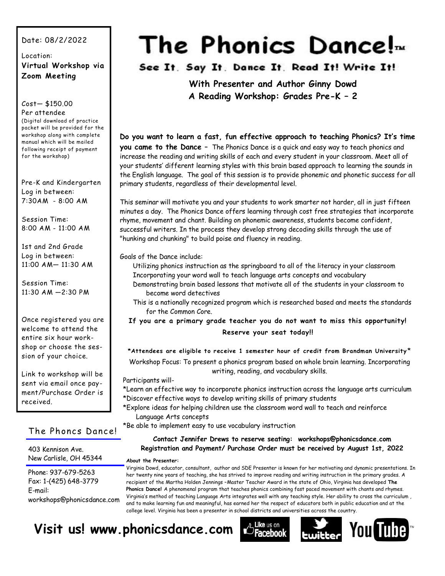#### Date: 08/2/2022

#### Location: **Virtual Workshop via Zoom Meeting**

#### Cost— \$150.00

Per attendee (Digital download of practice packet will be provided for the workshop along with complete manual which will be mailed following receipt of payment for the workshop)

Pre-K and Kindergarten Log in between: 7:30AM - 8:00 AM

Session Time: 8:00 AM - 11:00 AM

1st and 2nd Grade Log in between: 11:00 AM— 11:30 AM

Session Time: 11:30 AM —2:30 PM

Once registered you are welcome to attend the entire six hour workshop or choose the session of your choice.

Link to workshop will be sent via email once payment/Purchase Order is received.

#### The Phoncs Dance!

403 Kennison Ave. New Carlisle, OH 45344

Phone: 937-679-5263 Fax: 1-(425) 648-3779 E-mail: workshops@phonicsdance.com

# The Phonics Dance!<sub>*m*</sub>

See It. Say It. Dance It. Read It! Write It!

**With Presenter and Author Ginny Dowd A Reading Workshop: Grades Pre-K – 2**

**Do you want to learn a fast, fun effective approach to teaching Phonics? It's time you came to the Dance** – The Phonics Dance is a quick and easy way to teach phonics and increase the reading and writing skills of each and every student in your classroom. Meet all of your students' different learning styles with this brain based approach to learning the sounds in the English language. The goal of this session is to provide phonemic and phonetic success for all primary students, regardless of their developmental level.

This seminar will motivate you and your students to work smarter not harder, all in just fifteen minutes a day. The Phonics Dance offers learning through cost free strategies that incorporate rhyme, movement and chant. Building on phonemic awareness, students become confident, successful writers. In the process they develop strong decoding skills through the use of "hunking and chunking" to build poise and fluency in reading.

Goals of the Dance include:

Utilizing phonics instruction as the springboard to all of the literacy in your classroom Incorporating your word wall to teach language arts concepts and vocabulary

- Demonstrating brain based lessons that motivate all of the students in your classroom to become word detectives
- This is a nationally recognized program which is researched based and meets the standards for the Common Core.

**If you are a primary grade teacher you do not want to miss this opportunity! Reserve your seat today!!**

**\*Attendees are eligible to receive 1 semester hour of credit from Brandman University** \*

Workshop Focus: To present a phonics program based on whole brain learning. Incorporating writing, reading, and vocabulary skills.

#### Participants will-

- \*Learn an effective way to incorporate phonics instruction across the language arts curriculum \*Discover effective ways to develop writing skills of primary students
- \*Explore ideas for helping children use the classroom word wall to teach and reinforce Language Arts concepts

\*Be able to implement easy to use vocabulary instruction

**Contact Jennifer Drews to reserve seating: workshops@phonicsdance.com Registration and Payment/ Purchase Order must be received by August 1st, 2022** 

#### **About the Presenter:**

Virginia Dowd, educator, consultant, author and SDE Presenter is known for her motivating and dynamic presentations. In her twenty nine years of teaching, she has strived to improve reading and writing instruction in the primary grades. A recipient of the Martha Holden Jennings –Master Teacher Award in the state of Ohio, Virginia has developed **The Phonics Dance!** A phenomenal program that teaches phonics combining fast paced movement with chants and rhymes. Virginia's method of teaching Language Arts integrates well with any teaching style. Her ability to cross the curriculum , and to make learning fun and meaningful, has earned her the respect of educators both in public education and at the college level. Virginia has been a presenter in school districts and universities across the country.

## **Visit us! www.phonicsdance.com**